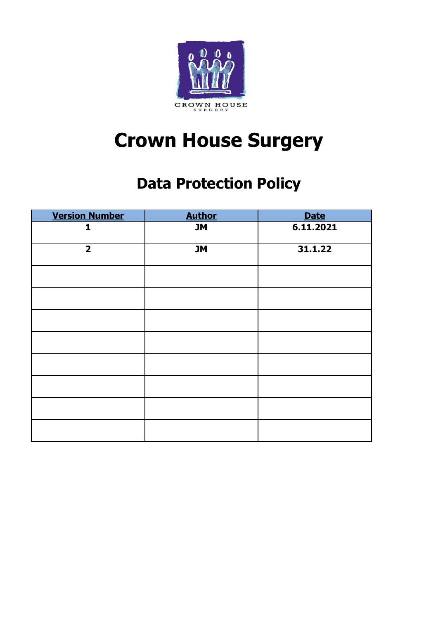

# **Crown House Surgery**

# **Data Protection Policy**

| <b>Version Number</b>   | <b>Author</b> | <b>Date</b> |
|-------------------------|---------------|-------------|
| 1                       | <b>JM</b>     | 6.11.2021   |
| $\overline{\mathbf{2}}$ | <b>JM</b>     | 31.1.22     |
|                         |               |             |
|                         |               |             |
|                         |               |             |
|                         |               |             |
|                         |               |             |
|                         |               |             |
|                         |               |             |
|                         |               |             |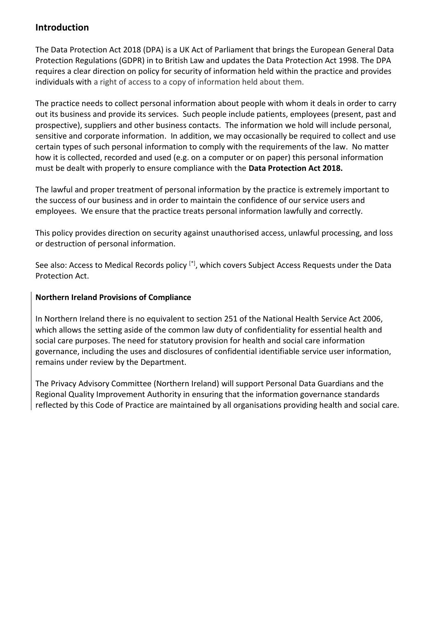#### **Introduction**

The Data Protection Act 2018 (DPA) is a UK Act of Parliament that brings the European General Data Protection Regulations (GDPR) in to British Law and updates the Data Protection Act 1998. The DPA requires a clear direction on policy for security of information held within the practice and provides individuals with a right of access to a copy of information held about them.

The practice needs to collect personal information about people with whom it deals in order to carry out its business and provide its services. Such people include patients, employees (present, past and prospective), suppliers and other business contacts. The information we hold will include personal, sensitive and corporate information. In addition, we may occasionally be required to collect and use certain types of such personal information to comply with the requirements of the law. No matter how it is collected, recorded and used (e.g. on a computer or on paper) this personal information must be dealt with properly to ensure compliance with the **Data Protection Act 2018.**

The lawful and proper treatment of personal information by the practice is extremely important to the success of our business and in order to maintain the confidence of our service users and employees. We ensure that the practice treats personal information lawfully and correctly.

This policy provides direction on security against unauthorised access, unlawful processing, and loss or destruction of personal information.

See also: Access to Medical Records policy [\*], which covers Subject Access Requests under the Data Protection Act.

#### **Northern Ireland Provisions of Compliance**

In Northern Ireland there is no equivalent to section 251 of the National Health Service Act 2006, which allows the setting aside of the common law duty of confidentiality for essential health and social care purposes. The need for statutory provision for health and social care information governance, including the uses and disclosures of confidential identifiable service user information, remains under review by the Department.

The Privacy Advisory Committee (Northern Ireland) will support Personal Data Guardians and the Regional Quality Improvement Authority in ensuring that the information governance standards reflected by this Code of Practice are maintained by all organisations providing health and social care.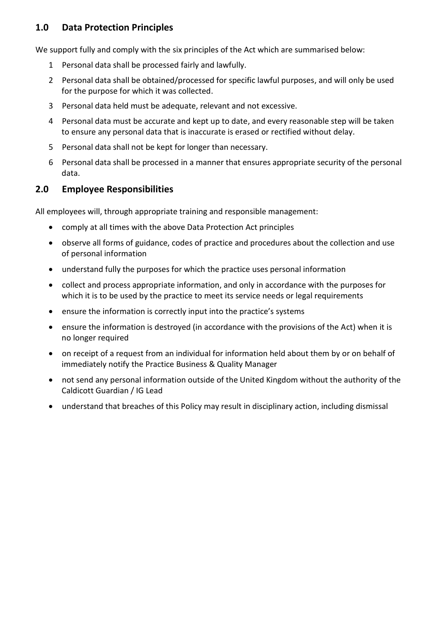## **1.0 Data Protection Principles**

We support fully and comply with the six principles of the Act which are summarised below:

- 1 Personal data shall be processed fairly and lawfully.
- 2 Personal data shall be obtained/processed for specific lawful purposes, and will only be used for the purpose for which it was collected.
- 3 Personal data held must be adequate, relevant and not excessive.
- 4 Personal data must be accurate and kept up to date, and every reasonable step will be taken to ensure any personal data that is inaccurate is erased or rectified without delay.
- 5 Personal data shall not be kept for longer than necessary.
- 6 Personal data shall be processed in a manner that ensures appropriate security of the personal data.

# **2.0 Employee Responsibilities**

All employees will, through appropriate training and responsible management:

- comply at all times with the above Data Protection Act principles
- observe all forms of guidance, codes of practice and procedures about the collection and use of personal information
- understand fully the purposes for which the practice uses personal information
- collect and process appropriate information, and only in accordance with the purposes for which it is to be used by the practice to meet its service needs or legal requirements
- ensure the information is correctly input into the practice's systems
- ensure the information is destroyed (in accordance with the provisions of the Act) when it is no longer required
- on receipt of a request from an individual for information held about them by or on behalf of immediately notify the Practice Business & Quality Manager
- not send any personal information outside of the United Kingdom without the authority of the Caldicott Guardian / IG Lead
- understand that breaches of this Policy may result in disciplinary action, including dismissal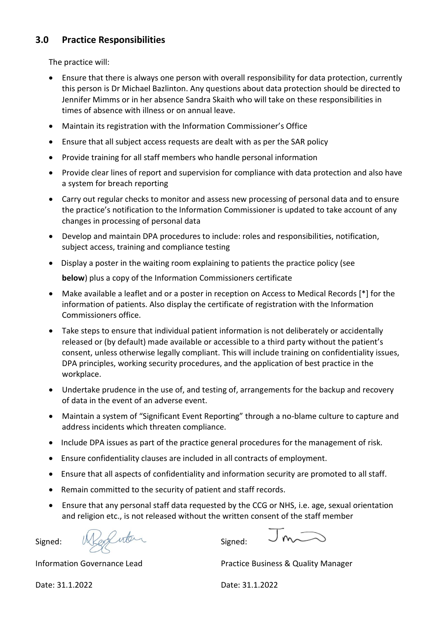## **3.0 Practice Responsibilities**

The practice will:

- Ensure that there is always one person with overall responsibility for data protection, currently this person is Dr Michael Bazlinton. Any questions about data protection should be directed to Jennifer Mimms or in her absence Sandra Skaith who will take on these responsibilities in times of absence with illness or on annual leave.
- Maintain its registration with the Information Commissioner's Office
- Ensure that all subject access requests are dealt with as per the SAR policy
- Provide training for all staff members who handle personal information
- Provide clear lines of report and supervision for compliance with data protection and also have a system for breach reporting
- Carry out regular checks to monitor and assess new processing of personal data and to ensure the practice's notification to the Information Commissioner is updated to take account of any changes in processing of personal data
- Develop and maintain DPA procedures to include: roles and responsibilities, notification, subject access, training and compliance testing
- Display a poster in the waiting room explaining to patients the practice policy (see **below**) plus a copy of the Information Commissioners certificate
- Make available a leaflet and or a poster in reception on Access to Medical Records [\*] for the information of patients. Also display the certificate of registration with the Information Commissioners office.
- Take steps to ensure that individual patient information is not deliberately or accidentally released or (by default) made available or accessible to a third party without the patient's consent, unless otherwise legally compliant. This will include training on confidentiality issues, DPA principles, working security procedures, and the application of best practice in the workplace.
- Undertake prudence in the use of, and testing of, arrangements for the backup and recovery of data in the event of an adverse event.
- Maintain a system of "Significant Event Reporting" through a no-blame culture to capture and address incidents which threaten compliance.
- Include DPA issues as part of the practice general procedures for the management of risk.
- Ensure confidentiality clauses are included in all contracts of employment.
- Ensure that all aspects of confidentiality and information security are promoted to all staff.
- Remain committed to the security of patient and staff records.
- Ensure that any personal staff data requested by the CCG or NHS, i.e. age, sexual orientation and religion etc., is not released without the written consent of the staff member

Signed: We are not signed:

 $J_{m}$ 

Information Governance Lead Practice Business & Quality Manager

Date: 31.1.2022 Date: 31.1.2022